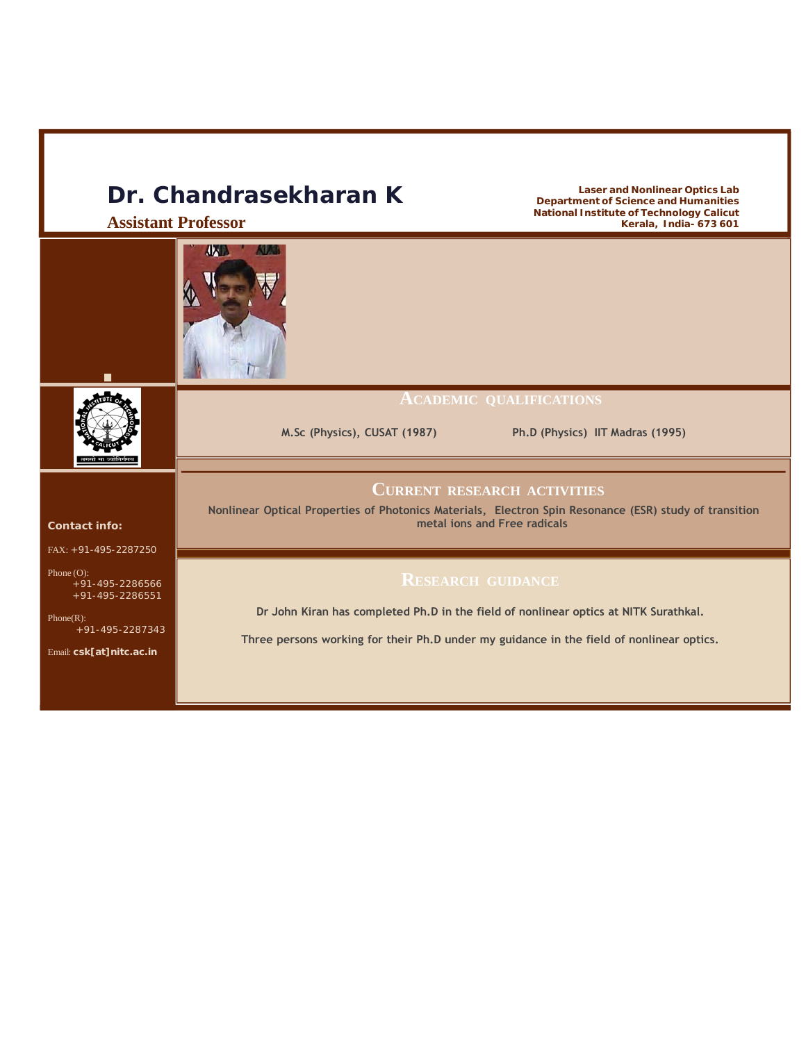# **Dr. Chandrasekharan K**

**Assistant Professor**



**National Institute of Technology Calicut Kerala, India- 673 601**

**Laser and Nonlinear Optics Lab Department of Science and Humanities**

#### **ACADEMIC QUALIFICATIONS**

**M.Sc (Physics), CUSAT (1987) Ph.D (Physics) IIT Madras (1995)**



## **CURRENT RESEARCH ACTIVITIES**

**Nonlinear Optical Properties of Photonics Materials, Electron Spin Resonance (ESR) study of transition metal ions and Free radicals**

# **RESEARCH GUIDANCE**

**Dr John Kiran has completed Ph.D in the field of nonlinear optics at NITK Surathkal.**

**Three persons working for their Ph.D under my guidance in the field of nonlinear optics.**

#### **Contact info:**

FAX: +91-495-2287250

```
Phone (O):
+91-495-2286566
+91-495-2286551
```
Phone(R): +91-495-2287343

Email: **csk[at]nitc.ac.in**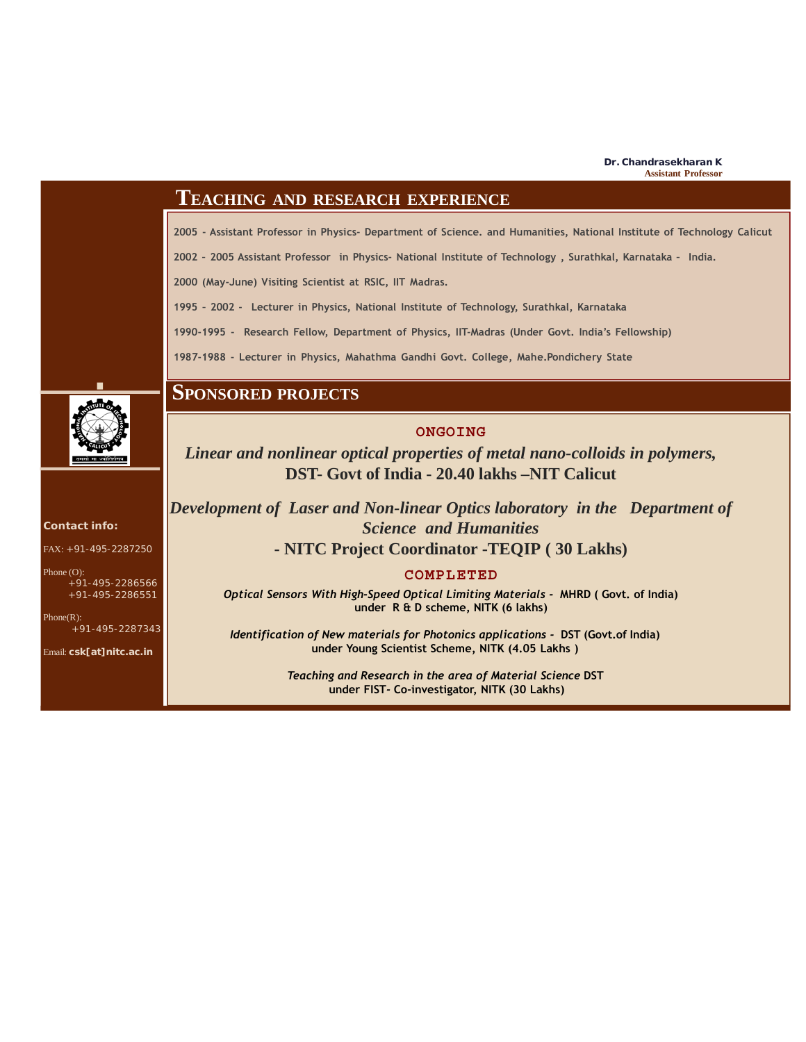# **TEACHING AND RESEARCH EXPERIENCE**

**2005 - Assistant Professor in Physics- Department of Science. and Humanities, National Institute of Technology Calicut**

**2002 – 2005 Assistant Professor in Physics- National Institute of Technology , Surathkal, Karnataka – India.**

**2000 (May-June) Visiting Scientist at RSIC, IIT Madras.**

**1995 – 2002 - Lecturer in Physics, National Institute of Technology, Surathkal, Karnataka**

**1990-1995 - Research Fellow, Department of Physics, IIT-Madras (Under Govt. India's Fellowship)**

**1987-1988 - Lecturer in Physics, Mahathma Gandhi Govt. College, Mahe.Pondichery State**



# **SPONSORED PROJECTS**

### **ONGOING**

*Linear and nonlinear optical properties of metal nano-colloids in polymers,* **DST- Govt of India - 20.40 lakhs –NIT Calicut**

*Development of Laser and Non-linear Optics laboratory in the Department of Science and Humanities* **- NITC Project Coordinator -TEQIP ( 30 Lakhs)**

### **COMPLETED**

*Optical Sensors With High-Speed Optical Limiting Materials -* **MHRD ( Govt. of India) under R & D scheme, NITK (6 lakhs)**

*Identification of New materials for Photonics applications -* **DST (Govt.of India) under Young Scientist Scheme***,* **NITK (4.05 Lakhs )**

> *Teaching and Research in the area of Material Science* **DST under FIST***-* **Co-investigator, NITK (30 Lakhs)**

**Contact info:**

FAX: +91-495-2287250

Phone (O): +91-495-2286566

+91-495-2286551

Phone(R): +91-495-2287343

Email: **csk[at]nitc.ac.in**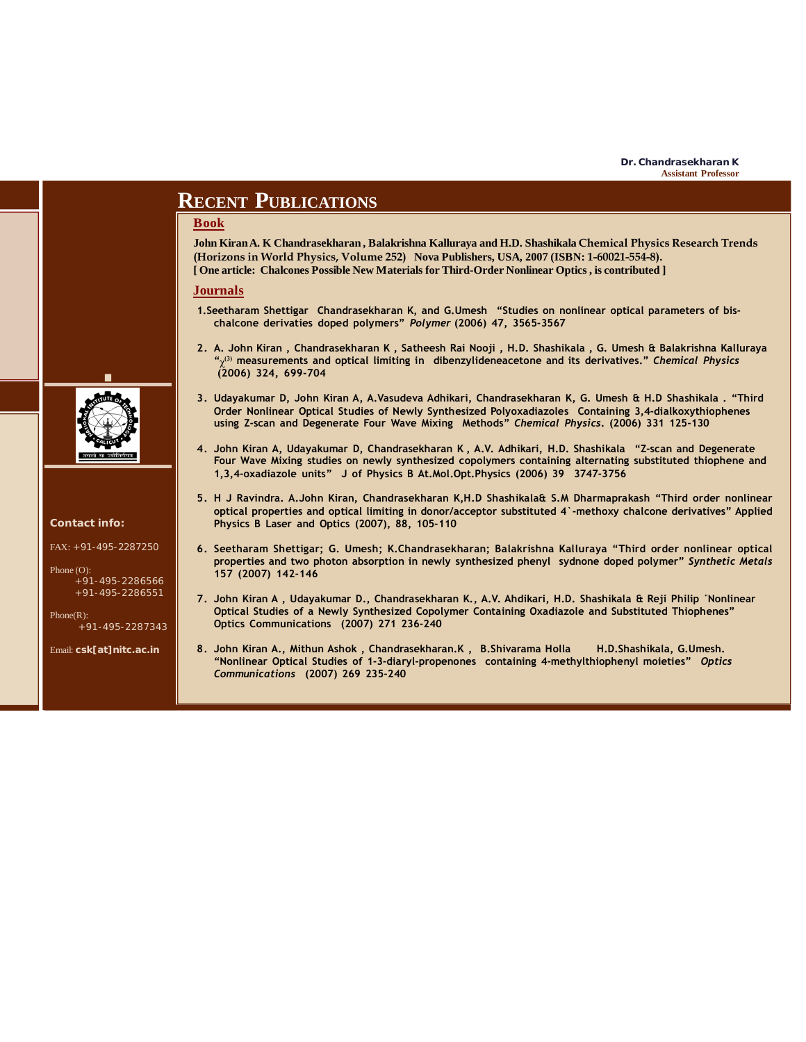# **RECENT PUBLICATIONS**

#### **Book**

**John Kiran A. K Chandrasekharan , Balakrishna Kalluraya and H.D. Shashikala Chemical Physics Research Trends (Horizons in World Physics, Volume 252) Nova Publishers, USA, 2007 (ISBN: 1-60021-554-8). [ One article: Chalcones Possible New Materials for Third-Order Nonlinear Optics , is contributed ]**

#### **Journals**

- **1.Seetharam Shettigar Chandrasekharan K, and G.Umesh "Studies on nonlinear optical parameters of bischalcone derivaties doped polymers"** *Polymer* **(2006) 47, 3565-3567**
- **2. A. John Kiran , Chandrasekharan K , Satheesh Rai Nooji , H.D. Shashikala , G. Umesh & Balakrishna Kalluraya " (3) measurements and optical limiting in dibenzylideneacetone and its derivatives."** *Chemical Physics* χ**(2006) 324, 699-704**
- **3. Udayakumar D, John Kiran A, A.Vasudeva Adhikari, Chandrasekharan K, G. Umesh & H.D Shashikala . "Third Order Nonlinear Optical Studies of Newly Synthesized Polyoxadiazoles Containing 3,4-dialkoxythiophenes using Z-scan and Degenerate Four Wave Mixing Methods"** *Chemical Physics***. (2006) 331 125-130**
- **4. John Kiran A, Udayakumar D, Chandrasekharan K , A.V. Adhikari, H.D. Shashikala "Z-scan and Degenerate Four Wave Mixing studies on newly synthesized copolymers containing alternating substituted thiophene and 1,3,4-oxadiazole units" J of Physics B At.Mol.Opt.Physics (2006) 39 3747-3756**
- **5. H J Ravindra. A.John Kiran, Chandrasekharan K,H.D Shashikala& S.M Dharmaprakash "Third order nonlinear optical properties and optical limiting in donor/acceptor substituted 4`-methoxy chalcone derivatives" Applied Physics B Laser and Optics (2007), 88, 105-110**
- **6. Seetharam Shettigar; G. Umesh; K.Chandrasekharan; Balakrishna Kalluraya "Third order nonlinear optical properties and two photon absorption in newly synthesized phenyl sydnone doped polymer"** *Synthetic Metals* **157 (2007) 142-146**
- **7. John Kiran A , Udayakumar D., Chandrasekharan K., A.V. Ahdikari, H.D. Shashikala & Reji Philip "Nonlinear Optical Studies of a Newly Synthesized Copolymer Containing Oxadiazole and Substituted Thiophenes" Optics Communications (2007) 271 236-240**
- **8. John Kiran A., Mithun Ashok , Chandrasekharan.K , B.Shivarama Holla H.D.Shashikala, G.Umesh. "Nonlinear Optical Studies of 1-3-diaryl-propenones containing 4-methylthiophenyl moieties"** *Optics Communications* **(2007) 269 235-240**



#### **Contact info:**

 $FAX: +91-495-2287250$ 

```
Phone (O):
+91-495-2286566
+91-495-2286551
```
Phone(R): +91-495-2287343

Email: **csk[at]nitc.ac.in**